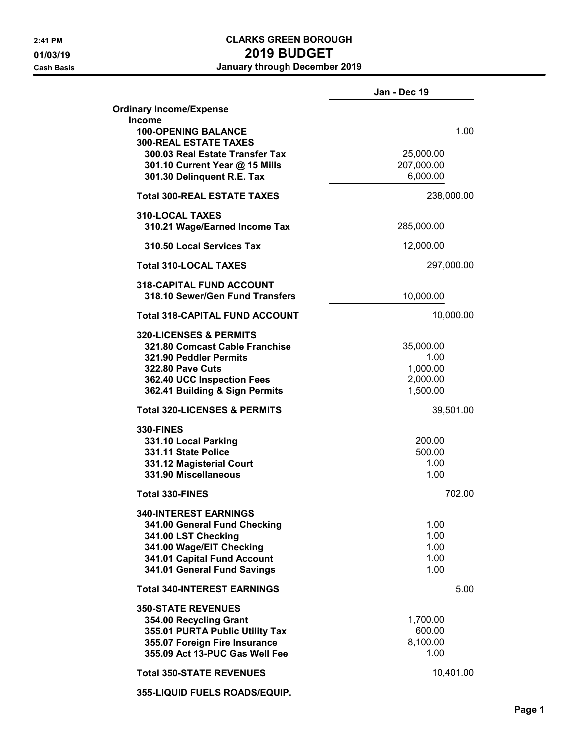# 2:41 PM CLARKS GREEN BOROUGH 01/03/19 2019 01/03/19

Cash Basis January through December 2019

|                                                                             | Jan - Dec 19 |
|-----------------------------------------------------------------------------|--------------|
| <b>Ordinary Income/Expense</b>                                              |              |
| <b>Income</b><br><b>100-OPENING BALANCE</b><br><b>300-REAL ESTATE TAXES</b> | 1.00         |
| 300.03 Real Estate Transfer Tax                                             | 25,000.00    |
| 301.10 Current Year @ 15 Mills                                              | 207,000.00   |
| 301.30 Delinquent R.E. Tax                                                  | 6,000.00     |
| <b>Total 300-REAL ESTATE TAXES</b>                                          | 238,000.00   |
| 310-LOCAL TAXES<br>310.21 Wage/Earned Income Tax                            | 285,000.00   |
| 310.50 Local Services Tax                                                   | 12,000.00    |
| <b>Total 310-LOCAL TAXES</b>                                                | 297,000.00   |
| <b>318-CAPITAL FUND ACCOUNT</b>                                             |              |
| 318.10 Sewer/Gen Fund Transfers                                             | 10,000.00    |
| <b>Total 318-CAPITAL FUND ACCOUNT</b>                                       | 10,000.00    |
| <b>320-LICENSES &amp; PERMITS</b>                                           |              |
| 321.80 Comcast Cable Franchise                                              | 35,000.00    |
| 321.90 Peddler Permits                                                      | 1.00         |
| <b>322.80 Pave Cuts</b>                                                     | 1,000.00     |
| 362.40 UCC Inspection Fees                                                  | 2,000.00     |
| 362.41 Building & Sign Permits                                              | 1,500.00     |
| <b>Total 320-LICENSES &amp; PERMITS</b>                                     | 39,501.00    |
| <b>330-FINES</b>                                                            |              |
| 331.10 Local Parking                                                        | 200.00       |
| 331.11 State Police                                                         | 500.00       |
| 331.12 Magisterial Court                                                    | 1.00         |
| 331.90 Miscellaneous                                                        | 1.00         |
| <b>Total 330-FINES</b>                                                      | 702.00       |
| <b>340-INTEREST EARNINGS</b>                                                | 1.00         |
| 341.00 General Fund Checking<br>341.00 LST Checking                         | 1.00         |
|                                                                             | 1.00         |
| 341.00 Wage/EIT Checking<br>341.01 Capital Fund Account                     | 1.00         |
| 341.01 General Fund Savings                                                 | 1.00         |
| <b>Total 340-INTEREST EARNINGS</b>                                          | 5.00         |
| <b>350-STATE REVENUES</b>                                                   |              |
| 354.00 Recycling Grant                                                      | 1,700.00     |
| 355.01 PURTA Public Utility Tax                                             | 600.00       |
| 355.07 Foreign Fire Insurance                                               | 8,100.00     |
| 355.09 Act 13-PUC Gas Well Fee                                              | 1.00         |
| <b>Total 350-STATE REVENUES</b>                                             | 10,401.00    |
| 355-LIQUID FUELS ROADS/EQUIP.                                               |              |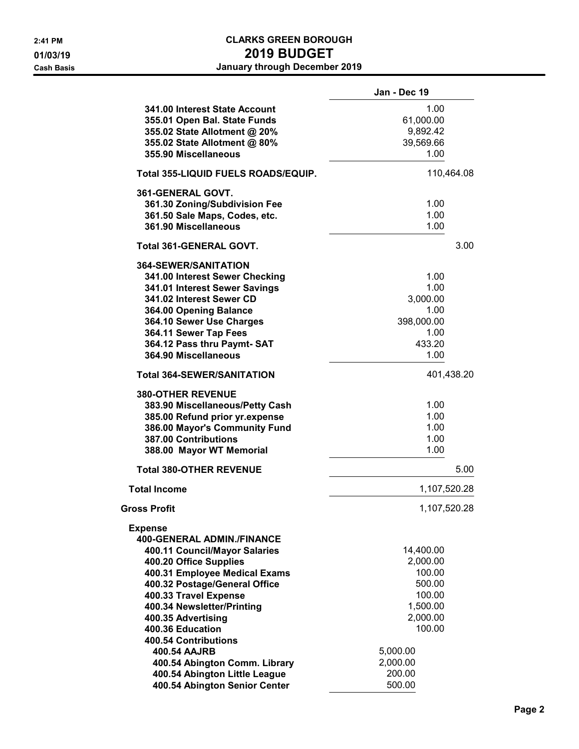|                                                                                                                                                                                                                                                                                                                           | Jan - Dec 19                                                                                      |
|---------------------------------------------------------------------------------------------------------------------------------------------------------------------------------------------------------------------------------------------------------------------------------------------------------------------------|---------------------------------------------------------------------------------------------------|
| 341.00 Interest State Account<br>355.01 Open Bal. State Funds<br>355.02 State Allotment @ 20%<br>355.02 State Allotment @ 80%<br>355.90 Miscellaneous                                                                                                                                                                     | 1.00<br>61,000.00<br>9,892.42<br>39,569.66<br>1.00                                                |
| Total 355-LIQUID FUELS ROADS/EQUIP.                                                                                                                                                                                                                                                                                       | 110,464.08                                                                                        |
| 361-GENERAL GOVT.<br>361.30 Zoning/Subdivision Fee<br>361.50 Sale Maps, Codes, etc.<br>361.90 Miscellaneous                                                                                                                                                                                                               | 1.00<br>1.00<br>1.00                                                                              |
| <b>Total 361-GENERAL GOVT.</b>                                                                                                                                                                                                                                                                                            | 3.00                                                                                              |
| <b>364-SEWER/SANITATION</b><br>341.00 Interest Sewer Checking<br>341.01 Interest Sewer Savings<br>341.02 Interest Sewer CD<br>364.00 Opening Balance<br>364.10 Sewer Use Charges<br>364.11 Sewer Tap Fees<br>364.12 Pass thru Paymt-SAT<br>364.90 Miscellaneous                                                           | 1.00<br>1.00<br>3,000.00<br>1.00<br>398,000.00<br>1.00<br>433.20<br>1.00                          |
| <b>Total 364-SEWER/SANITATION</b>                                                                                                                                                                                                                                                                                         | 401,438.20                                                                                        |
| <b>380-OTHER REVENUE</b><br>383.90 Miscellaneous/Petty Cash<br>385.00 Refund prior yr.expense<br>386.00 Mayor's Community Fund<br>387.00 Contributions<br>388.00 Mayor WT Memorial                                                                                                                                        | 1.00<br>1.00<br>1.00<br>1.00<br>1.00                                                              |
| <b>Total 380-OTHER REVENUE</b>                                                                                                                                                                                                                                                                                            | 5.00                                                                                              |
| <b>Total Income</b>                                                                                                                                                                                                                                                                                                       | 1,107,520.28                                                                                      |
| Gross Profit                                                                                                                                                                                                                                                                                                              | 1,107,520.28                                                                                      |
| <b>Expense</b><br><b>400-GENERAL ADMIN./FINANCE</b><br>400.11 Council/Mayor Salaries<br>400.20 Office Supplies<br>400.31 Employee Medical Exams<br>400.32 Postage/General Office<br>400.33 Travel Expense<br>400.34 Newsletter/Printing<br>400.35 Advertising<br>400.36 Education<br>400.54 Contributions<br>400.54 AAJRB | 14,400.00<br>2,000.00<br>100.00<br>500.00<br>100.00<br>1,500.00<br>2,000.00<br>100.00<br>5,000.00 |
| 400.54 Abington Comm. Library<br>400.54 Abington Little League<br>400.54 Abington Senior Center                                                                                                                                                                                                                           | 2,000.00<br>200.00<br>500.00                                                                      |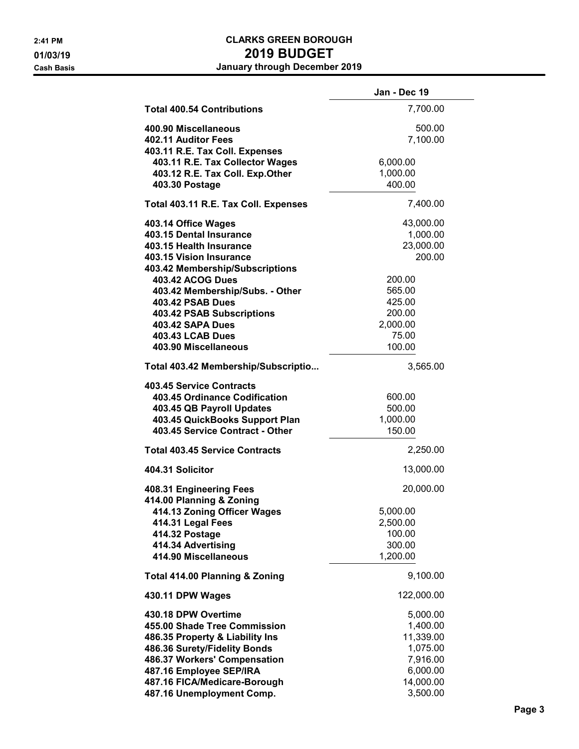|                                                                                                                                                                                                                                                | Jan - Dec 19                                                                                   |
|------------------------------------------------------------------------------------------------------------------------------------------------------------------------------------------------------------------------------------------------|------------------------------------------------------------------------------------------------|
| <b>Total 400.54 Contributions</b>                                                                                                                                                                                                              | 7,700.00                                                                                       |
| 400.90 Miscellaneous<br>402.11 Auditor Fees<br>403.11 R.E. Tax Coll. Expenses                                                                                                                                                                  | 500.00<br>7,100.00                                                                             |
| 403.11 R.E. Tax Collector Wages<br>403.12 R.E. Tax Coll. Exp.Other<br>403.30 Postage                                                                                                                                                           | 6,000.00<br>1,000.00<br>400.00                                                                 |
| Total 403.11 R.E. Tax Coll. Expenses                                                                                                                                                                                                           | 7,400.00                                                                                       |
| 403.14 Office Wages<br>403.15 Dental Insurance<br>403.15 Health Insurance<br>403.15 Vision Insurance<br>403.42 Membership/Subscriptions                                                                                                        | 43,000.00<br>1,000.00<br>23,000.00<br>200.00                                                   |
| 403.42 ACOG Dues<br>403.42 Membership/Subs. - Other<br><b>403.42 PSAB Dues</b><br><b>403.42 PSAB Subscriptions</b><br><b>403.42 SAPA Dues</b><br><b>403.43 LCAB Dues</b><br>403.90 Miscellaneous                                               | 200.00<br>565.00<br>425.00<br>200.00<br>2,000.00<br>75.00<br>100.00                            |
| Total 403.42 Membership/Subscriptio                                                                                                                                                                                                            | 3,565.00                                                                                       |
| 403.45 Service Contracts<br>403.45 Ordinance Codification<br>403.45 QB Payroll Updates<br>403.45 QuickBooks Support Plan<br>403.45 Service Contract - Other                                                                                    | 600.00<br>500.00<br>1,000.00<br>150.00                                                         |
| <b>Total 403.45 Service Contracts</b>                                                                                                                                                                                                          | 2,250.00                                                                                       |
| 404.31 Solicitor                                                                                                                                                                                                                               | 13,000.00                                                                                      |
| 408.31 Engineering Fees<br>414.00 Planning & Zoning<br>414.13 Zoning Officer Wages<br>414.31 Legal Fees<br>414.32 Postage<br>414.34 Advertising<br>414.90 Miscellaneous                                                                        | 20,000.00<br>5,000.00<br>2,500.00<br>100.00<br>300.00<br>1,200.00                              |
| <b>Total 414.00 Planning &amp; Zoning</b>                                                                                                                                                                                                      | 9,100.00                                                                                       |
| 430.11 DPW Wages                                                                                                                                                                                                                               | 122,000.00                                                                                     |
| 430.18 DPW Overtime<br>455.00 Shade Tree Commission<br>486.35 Property & Liability Ins<br>486.36 Surety/Fidelity Bonds<br>486.37 Workers' Compensation<br>487.16 Employee SEP/IRA<br>487.16 FICA/Medicare-Borough<br>487.16 Unemployment Comp. | 5,000.00<br>1,400.00<br>11,339.00<br>1,075.00<br>7,916.00<br>6,000.00<br>14,000.00<br>3,500.00 |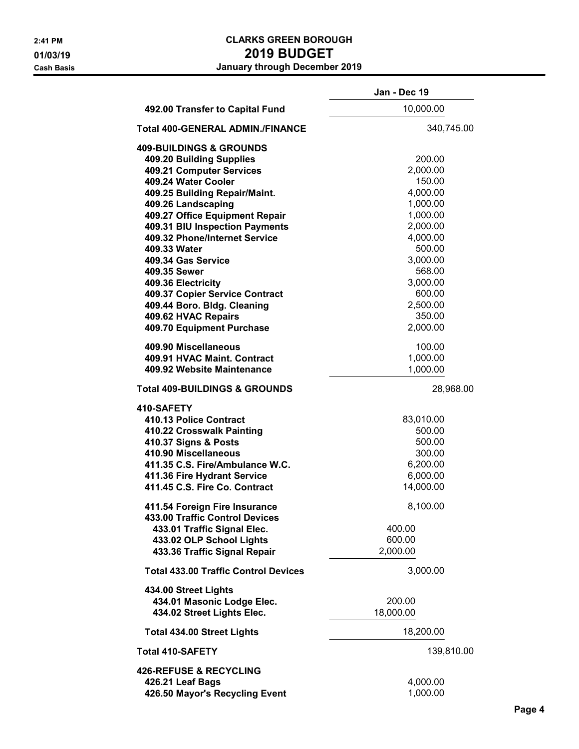|                                             | Jan - Dec 19 |
|---------------------------------------------|--------------|
| 492.00 Transfer to Capital Fund             | 10,000.00    |
| <b>Total 400-GENERAL ADMIN./FINANCE</b>     | 340,745.00   |
| <b>409-BUILDINGS &amp; GROUNDS</b>          |              |
| 409.20 Building Supplies                    | 200.00       |
| 409.21 Computer Services                    | 2,000.00     |
| 409.24 Water Cooler                         | 150.00       |
| 409.25 Building Repair/Maint.               | 4,000.00     |
| 409.26 Landscaping                          | 1,000.00     |
| 409.27 Office Equipment Repair              | 1,000.00     |
|                                             |              |
| 409.31 BIU Inspection Payments              | 2,000.00     |
| 409.32 Phone/Internet Service               | 4,000.00     |
| 409.33 Water                                | 500.00       |
| 409.34 Gas Service                          | 3,000.00     |
| 409.35 Sewer                                | 568.00       |
| 409.36 Electricity                          | 3,000.00     |
| 409.37 Copier Service Contract              | 600.00       |
| 409.44 Boro. Bldg. Cleaning                 | 2,500.00     |
| 409.62 HVAC Repairs                         | 350.00       |
| 409.70 Equipment Purchase                   | 2,000.00     |
| 409.90 Miscellaneous                        | 100.00       |
| 409.91 HVAC Maint. Contract                 | 1,000.00     |
| 409.92 Website Maintenance                  | 1,000.00     |
| <b>Total 409-BUILDINGS &amp; GROUNDS</b>    | 28,968.00    |
| 410-SAFETY                                  |              |
| 410.13 Police Contract                      | 83,010.00    |
| 410.22 Crosswalk Painting                   | 500.00       |
| 410.37 Signs & Posts                        | 500.00       |
| 410.90 Miscellaneous                        | 300.00       |
|                                             |              |
| 411.35 C.S. Fire/Ambulance W.C.             | 6,200.00     |
| 411.36 Fire Hydrant Service                 | 6,000.00     |
| 411.45 C.S. Fire Co. Contract               | 14,000.00    |
| 411.54 Foreign Fire Insurance               | 8,100.00     |
| 433.00 Traffic Control Devices              |              |
| 433.01 Traffic Signal Elec.                 | 400.00       |
| 433.02 OLP School Lights                    | 600.00       |
| 433.36 Traffic Signal Repair                | 2,000.00     |
| <b>Total 433.00 Traffic Control Devices</b> | 3,000.00     |
| 434.00 Street Lights                        |              |
| 434.01 Masonic Lodge Elec.                  | 200.00       |
| 434.02 Street Lights Elec.                  | 18,000.00    |
| <b>Total 434.00 Street Lights</b>           | 18,200.00    |
| <b>Total 410-SAFETY</b>                     | 139,810.00   |
| <b>426-REFUSE &amp; RECYCLING</b>           |              |
| 426.21 Leaf Bags                            | 4,000.00     |
| 426.50 Mayor's Recycling Event              | 1,000.00     |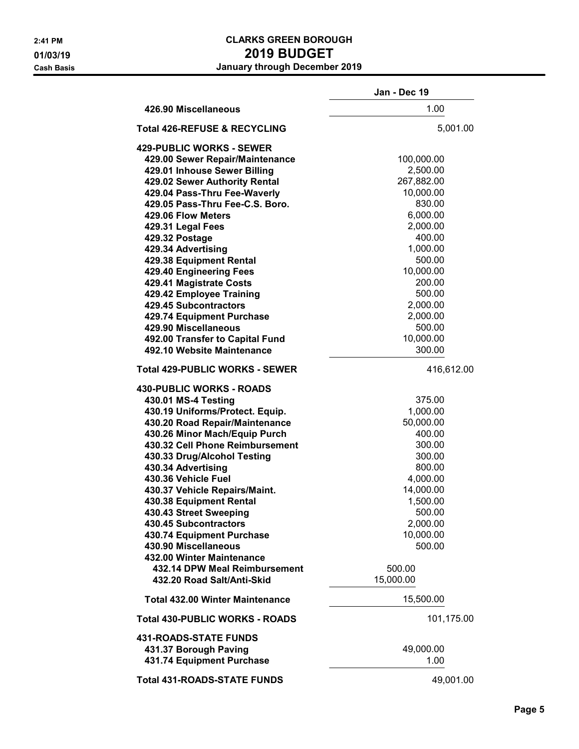|                                                             | Jan - Dec 19        |
|-------------------------------------------------------------|---------------------|
| 426.90 Miscellaneous                                        | 1.00                |
| <b>Total 426-REFUSE &amp; RECYCLING</b>                     | 5,001.00            |
| <b>429-PUBLIC WORKS - SEWER</b>                             |                     |
| 429.00 Sewer Repair/Maintenance                             | 100,000.00          |
| 429.01 Inhouse Sewer Billing                                | 2,500.00            |
| 429.02 Sewer Authority Rental                               | 267,882.00          |
| 429.04 Pass-Thru Fee-Waverly                                | 10,000.00           |
| 429.05 Pass-Thru Fee-C.S. Boro.                             | 830.00              |
| 429.06 Flow Meters                                          | 6,000.00            |
| 429.31 Legal Fees                                           | 2,000.00            |
| 429.32 Postage                                              | 400.00              |
| 429.34 Advertising                                          | 1,000.00            |
| 429.38 Equipment Rental                                     | 500.00              |
| 429.40 Engineering Fees                                     | 10,000.00           |
|                                                             | 200.00              |
| 429.41 Magistrate Costs                                     |                     |
| 429.42 Employee Training                                    | 500.00              |
| 429.45 Subcontractors                                       | 2,000.00            |
| 429.74 Equipment Purchase                                   | 2,000.00            |
| 429.90 Miscellaneous                                        | 500.00              |
| 492.00 Transfer to Capital Fund                             | 10,000.00           |
| 492.10 Website Maintenance                                  | 300.00              |
| <b>Total 429-PUBLIC WORKS - SEWER</b>                       | 416,612.00          |
| 430-PUBLIC WORKS - ROADS                                    |                     |
| 430.01 MS-4 Testing                                         | 375.00              |
| 430.19 Uniforms/Protect. Equip.                             | 1,000.00            |
| 430.20 Road Repair/Maintenance                              | 50,000.00           |
| 430.26 Minor Mach/Equip Purch                               | 400.00              |
| 430.32 Cell Phone Reimbursement                             | 300.00              |
| 430.33 Drug/Alcohol Testing                                 | 300.00              |
| 430.34 Advertising                                          | 800.00              |
| 430.36 Vehicle Fuel                                         | 4,000.00            |
| 430.37 Vehicle Repairs/Maint.                               | 14,000.00           |
| 430.38 Equipment Rental                                     | 1,500.00            |
|                                                             | 500.00              |
| 430.43 Street Sweeping<br>430.45 Subcontractors             | 2,000.00            |
| 430.74 Equipment Purchase                                   | 10,000.00           |
|                                                             | 500.00              |
| 430.90 Miscellaneous                                        |                     |
| 432.00 Winter Maintenance                                   |                     |
| 432.14 DPW Meal Reimbursement<br>432.20 Road Salt/Anti-Skid | 500.00<br>15,000.00 |
| <b>Total 432.00 Winter Maintenance</b>                      | 15,500.00           |
|                                                             |                     |
| <b>Total 430-PUBLIC WORKS - ROADS</b>                       | 101,175.00          |
| <b>431-ROADS-STATE FUNDS</b>                                |                     |
| 431.37 Borough Paving                                       | 49,000.00           |
| 431.74 Equipment Purchase                                   | 1.00                |
| <b>Total 431-ROADS-STATE FUNDS</b>                          | 49,001.00           |